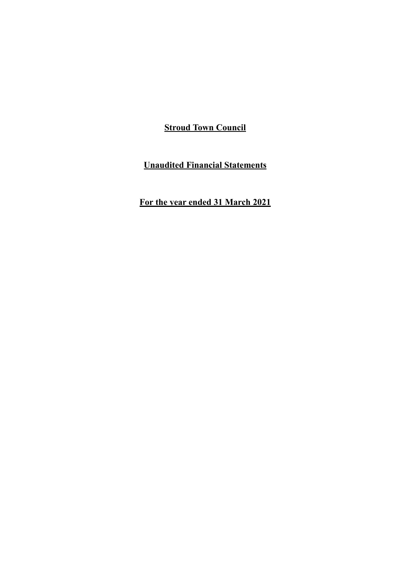**Unaudited Financial Statements**

**For the year ended 31 March 2021**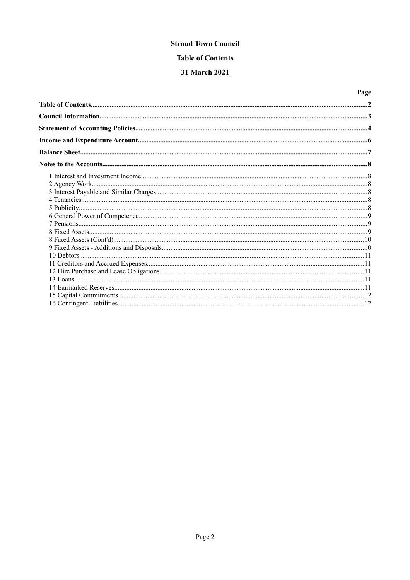# **Table of Contents**

# 31 March 2021

# Page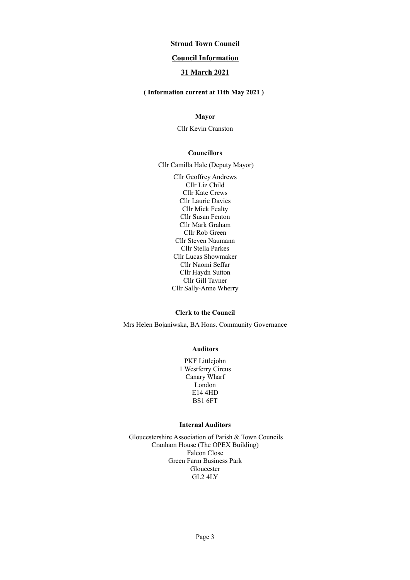## **Council Information**

# **31 March 2021**

#### **( Information current at 11th May 2021 )**

## **Mayor**

Cllr Kevin Cranston

#### **Councillors**

Cllr Camilla Hale (Deputy Mayor)

Cllr Geoffrey Andrews Cllr Liz Child Cllr Kate Crews Cllr Laurie Davies Cllr Mick Fealty Cllr Susan Fenton Cllr Mark Graham Cllr Rob Green Cllr Steven Naumann Cllr Stella Parkes Cllr Lucas Showmaker Cllr Naomi Seffar Cllr Haydn Sutton Cllr Gill Tavner Cllr Sally-Anne Wherry

#### **Clerk to the Council**

Mrs Helen Bojaniwska, BA Hons. Community Governance

#### **Auditors**

PKF Littlejohn 1 Westferry Circus Canary Wharf London E14 4HD BS1 6FT

#### **Internal Auditors**

Gloucestershire Association of Parish & Town Councils Cranham House (The OPEX Building) Falcon Close Green Farm Business Park Gloucester GL2 4LY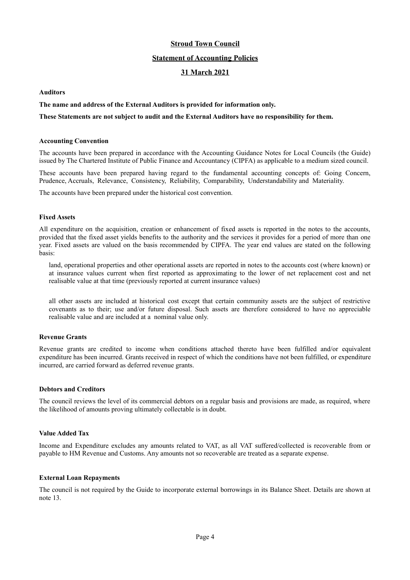#### **Statement of Accounting Policies**

## **31 March 2021**

#### **Auditors**

#### **The name and address of the External Auditors is provided for information only.**

#### **These Statements are not subject to audit and the External Auditors have no responsibility for them.**

#### **Accounting Convention**

The accounts have been prepared in accordance with the Accounting Guidance Notes for Local Councils (the Guide) issued by The Chartered Institute of Public Finance and Accountancy (CIPFA) as applicable to a medium sized council.

These accounts have been prepared having regard to the fundamental accounting concepts of: Going Concern, Prudence, Accruals, Relevance, Consistency, Reliability, Comparability, Understandability and Materiality.

The accounts have been prepared under the historical cost convention.

#### **Fixed Assets**

All expenditure on the acquisition, creation or enhancement of fixed assets is reported in the notes to the accounts, provided that the fixed asset yields benefits to the authority and the services it provides for a period of more than one year. Fixed assets are valued on the basis recommended by CIPFA. The year end values are stated on the following basis:

land, operational properties and other operational assets are reported in notes to the accounts cost (where known) or at insurance values current when first reported as approximating to the lower of net replacement cost and net realisable value at that time (previously reported at current insurance values)

all other assets are included at historical cost except that certain community assets are the subject of restrictive covenants as to their; use and/or future disposal. Such assets are therefore considered to have no appreciable realisable value and are included at a nominal value only.

#### **Revenue Grants**

Revenue grants are credited to income when conditions attached thereto have been fulfilled and/or equivalent expenditure has been incurred. Grants received in respect of which the conditions have not been fulfilled, or expenditure incurred, are carried forward as deferred revenue grants.

#### **Debtors and Creditors**

The council reviews the level of its commercial debtors on a regular basis and provisions are made, as required, where the likelihood of amounts proving ultimately collectable is in doubt.

#### **Value Added Tax**

Income and Expenditure excludes any amounts related to VAT, as all VAT suffered/collected is recoverable from or payable to HM Revenue and Customs. Any amounts not so recoverable are treated as a separate expense.

#### **External Loan Repayments**

The council is not required by the Guide to incorporate external borrowings in its Balance Sheet. Details are shown at note 13.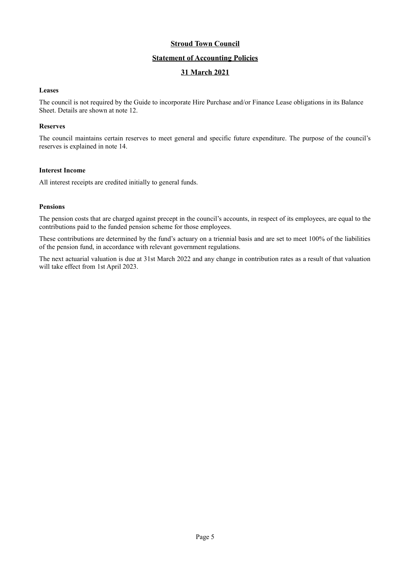# **Statement of Accounting Policies**

# **31 March 2021**

#### **Leases**

The council is not required by the Guide to incorporate Hire Purchase and/or Finance Lease obligations in its Balance Sheet. Details are shown at note 12.

#### **Reserves**

The council maintains certain reserves to meet general and specific future expenditure. The purpose of the council's reserves is explained in note 14.

#### **Interest Income**

All interest receipts are credited initially to general funds.

#### **Pensions**

The pension costs that are charged against precept in the council's accounts, in respect of its employees, are equal to the contributions paid to the funded pension scheme for those employees.

These contributions are determined by the fund's actuary on a triennial basis and are set to meet 100% of the liabilities of the pension fund, in accordance with relevant government regulations.

The next actuarial valuation is due at 31st March 2022 and any change in contribution rates as a result of that valuation will take effect from 1st April 2023.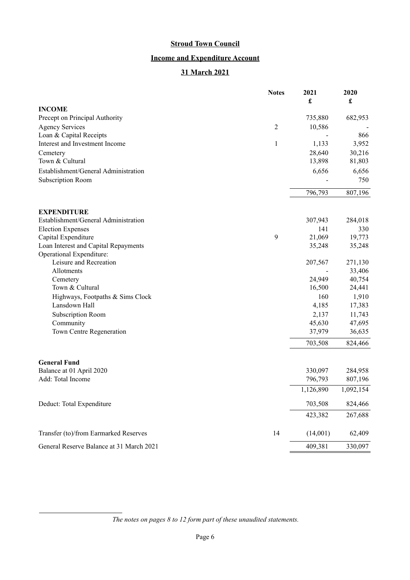# **Income and Expenditure Account**

# **31 March 2021**

|                                          | <b>Notes</b>   | 2021<br>£ | 2020<br>$\pmb{\mathfrak{L}}$ |
|------------------------------------------|----------------|-----------|------------------------------|
| <b>INCOME</b>                            |                |           |                              |
| Precept on Principal Authority           |                | 735,880   | 682,953                      |
| <b>Agency Services</b>                   | $\overline{2}$ | 10,586    |                              |
| Loan & Capital Receipts                  |                |           | 866                          |
| Interest and Investment Income           | $\mathbf{1}$   | 1,133     | 3,952                        |
| Cemetery                                 |                | 28,640    | 30,216                       |
| Town & Cultural                          |                | 13,898    | 81,803                       |
| Establishment/General Administration     |                | 6,656     | 6,656                        |
| Subscription Room                        |                |           | 750                          |
|                                          |                | 796,793   | 807,196                      |
| <b>EXPENDITURE</b>                       |                |           |                              |
| Establishment/General Administration     |                | 307,943   | 284,018                      |
| <b>Election Expenses</b>                 |                | 141       | 330                          |
| Capital Expenditure                      | 9              | 21,069    | 19,773                       |
| Loan Interest and Capital Repayments     |                | 35,248    | 35,248                       |
| Operational Expenditure:                 |                |           |                              |
| Leisure and Recreation                   |                | 207,567   | 271,130                      |
| Allotments                               |                |           | 33,406                       |
| Cemetery                                 |                | 24,949    | 40,754                       |
| Town & Cultural                          |                | 16,500    | 24,441                       |
| Highways, Footpaths & Sims Clock         |                | 160       | 1,910                        |
| Lansdown Hall                            |                | 4,185     | 17,383                       |
| Subscription Room                        |                | 2,137     | 11,743                       |
| Community                                |                | 45,630    | 47,695                       |
| Town Centre Regeneration                 |                | 37,979    | 36,635                       |
|                                          |                | 703,508   | 824,466                      |
| <b>General Fund</b>                      |                |           |                              |
| Balance at 01 April 2020                 |                | 330,097   | 284,958                      |
| Add: Total Income                        |                | 796,793   | 807,196                      |
|                                          |                | 1,126,890 | 1,092,154                    |
| Deduct: Total Expenditure                |                | 703,508   | 824,466                      |
|                                          |                | 423,382   | 267,688                      |
| Transfer (to)/from Earmarked Reserves    | 14             | (14,001)  | 62,409                       |
| General Reserve Balance at 31 March 2021 |                | 409,381   | 330,097                      |

*The notes on pages [8](#page-7-0) to [12](#page-11-0) form part of these unaudited statements.*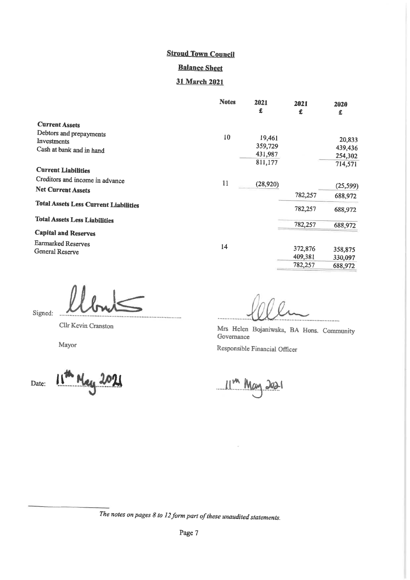# **Stroud Town Council Balance Sheet**

# 31 March 2021

|                                              | <b>Notes</b> | 2021<br>£ | 2021<br>£ | 2020<br>£ |
|----------------------------------------------|--------------|-----------|-----------|-----------|
| <b>Current Assets</b>                        |              |           |           |           |
| Debtors and prepayments                      | 10           |           |           |           |
| Investments                                  |              | 19,461    |           | 20,833    |
| Cash at bank and in hand                     |              | 359,729   |           | 439,436   |
|                                              |              | 431,987   |           | 254,302   |
| <b>Current Liabilities</b>                   |              | 811,177   |           | 714,571   |
| Creditors and income in advance              |              |           |           |           |
| <b>Net Current Assets</b>                    | 11           | (28,920)  |           | (25, 599) |
|                                              |              |           | 782,257   | 688,972   |
| <b>Total Assets Less Current Liabilities</b> |              |           | 782,257   | 688,972   |
| <b>Total Assets Less Liabilities</b>         |              |           |           |           |
|                                              |              |           | 782,257   | 688,972   |
| <b>Capital and Reserves</b>                  |              |           |           |           |
| Earmarked Reserves                           | 14           |           |           |           |
| General Reserve                              |              |           | 372,876   | 358,875   |
|                                              |              |           | 409,381   | 330,097   |
|                                              |              |           | 782,257   | 688,972   |

Signed:

Cllr Kevin Cranston

Mayor

11<sup>m</sup> May 2021 Date:

. . . . . . . . . . . . .  $\overline{\phantom{a}}$ 

Mrs Helen Bojaniwska, BA Hons. Community Governance Responsible Financial Officer

 $11<sup>m</sup>$  May 2021

The notes on pages  $8$  to  $12$  form part of these unaudited statements.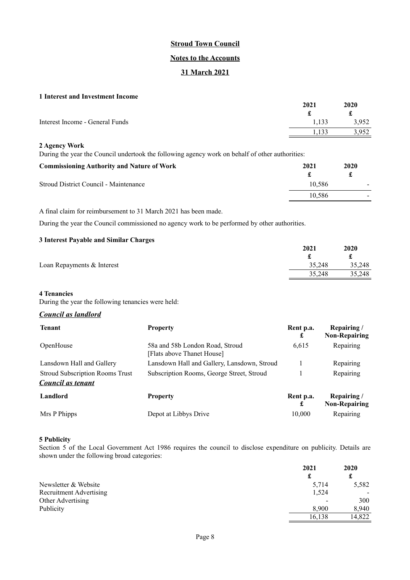#### **Notes to the Accounts**

# **31 March 2021**

#### <span id="page-7-0"></span>**1 Interest and Investment Income**

| 2021  | 2020  |
|-------|-------|
|       | £     |
| 1.133 | 3,952 |
|       | 3,952 |
|       |       |

#### **2 Agency Work**

During the year the Council undertook the following agency work on behalf of other authorities:

| <b>Commissioning Authority and Nature of Work</b> | 2021   | 2020 |
|---------------------------------------------------|--------|------|
| Stroud District Council - Maintenance             | 10.586 |      |
|                                                   | 10.586 |      |

A final claim for reimbursement to 31 March 2021 has been made.

During the year the Council commissioned no agency work to be performed by other authorities.

#### **3 Interest Payable and Similar Charges**

|                            | 2021   | 2020   |
|----------------------------|--------|--------|
|                            |        |        |
| Loan Repayments & Interest | 35,248 | 35,248 |
|                            | 35,248 | 35,248 |

#### **4 Tenancies**

During the year the following tenancies were held:

# *Council as landlord*

| <b>Tenant</b>                          | <b>Property</b>                                               | Rent p.a.<br>£ | Repairing/<br><b>Non-Repairing</b> |
|----------------------------------------|---------------------------------------------------------------|----------------|------------------------------------|
| OpenHouse                              | 58a and 58b London Road, Stroud<br>[Flats above Thanet House] | 6,615          | Repairing                          |
| Lansdown Hall and Gallery              | Lansdown Hall and Gallery, Lansdown, Stroud                   |                | Repairing                          |
| <b>Stroud Subscription Rooms Trust</b> | Subscription Rooms, George Street, Stroud                     |                | Repairing                          |
| Council as tenant                      |                                                               |                |                                    |
| Landlord                               | <b>Property</b>                                               | Rent p.a.<br>£ | Repairing/<br><b>Non-Repairing</b> |
| Mrs P Phipps                           | Depot at Libbys Drive                                         | 10,000         | Repairing                          |

#### **5 Publicity**

Section 5 of the Local Government Act 1986 requires the council to disclose expenditure on publicity. Details are shown under the following broad categories:

|                         | 2021   | 2020           |
|-------------------------|--------|----------------|
|                         | £      | £              |
| Newsletter & Website    | 5,714  | 5,582          |
| Recruitment Advertising | 1,524  | $\blacksquare$ |
| Other Advertising       | -      | 300            |
| Publicity               | 8.900  | 8.940          |
|                         | 16,138 | 14.822         |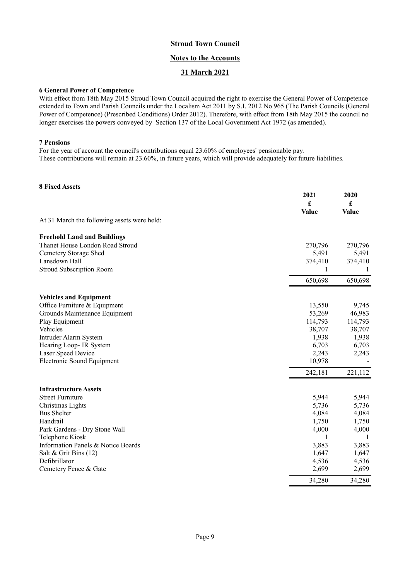# **Notes to the Accounts**

# **31 March 2021**

#### **6 General Power of Competence**

With effect from 18th May 2015 Stroud Town Council acquired the right to exercise the General Power of Competence extended to Town and Parish Councils under the Localism Act 2011 by S.I. 2012 No 965 (The Parish Councils (General Power of Competence) (Prescribed Conditions) Order 2012). Therefore, with effect from 18th May 2015 the council no longer exercises the powers conveyed by Section 137 of the Local Government Act 1972 (as amended).

#### **7 Pensions**

For the year of account the council's contributions equal 23.60% of employees' pensionable pay. These contributions will remain at 23.60%, in future years, which will provide adequately for future liabilities.

# **8 Fixed Assets**

|                                             | 2021<br>£<br><b>Value</b> | 2020<br>£<br><b>Value</b> |
|---------------------------------------------|---------------------------|---------------------------|
| At 31 March the following assets were held: |                           |                           |
| <b>Freehold Land and Buildings</b>          |                           |                           |
| Thanet House London Road Stroud             | 270,796                   | 270,796                   |
| Cemetery Storage Shed                       | 5,491                     | 5,491                     |
| Lansdown Hall                               | 374,410                   | 374,410                   |
| Stroud Subscription Room                    | 1                         | 1                         |
|                                             | 650,698                   | 650,698                   |
| <b>Vehicles and Equipment</b>               |                           |                           |
| Office Furniture & Equipment                | 13,550                    | 9,745                     |
| Grounds Maintenance Equipment               | 53,269                    | 46,983                    |
| Play Equipment                              | 114,793                   | 114,793                   |
| Vehicles                                    | 38,707                    | 38,707                    |
| Intruder Alarm System                       | 1,938                     | 1,938                     |
| Hearing Loop- IR System                     | 6,703                     | 6,703                     |
| Laser Speed Device                          | 2,243                     | 2,243                     |
| <b>Electronic Sound Equipment</b>           | 10,978                    |                           |
|                                             | 242,181                   | 221,112                   |
| <b>Infrastructure Assets</b>                |                           |                           |
| <b>Street Furniture</b>                     | 5,944                     | 5,944                     |
| Christmas Lights                            | 5,736                     | 5,736                     |
| <b>Bus Shelter</b>                          | 4,084                     | 4,084                     |
| Handrail                                    | 1,750                     | 1,750                     |
| Park Gardens - Dry Stone Wall               | 4,000                     | 4,000                     |
| Telephone Kiosk                             | 1                         | -1                        |
| Information Panels & Notice Boards          | 3,883                     | 3,883                     |
| Salt & Grit Bins (12)                       | 1,647                     | 1,647                     |
| Defibrillator                               | 4,536                     | 4,536                     |
| Cemetery Fence & Gate                       | 2,699                     | 2,699                     |
|                                             | 34,280                    | 34,280                    |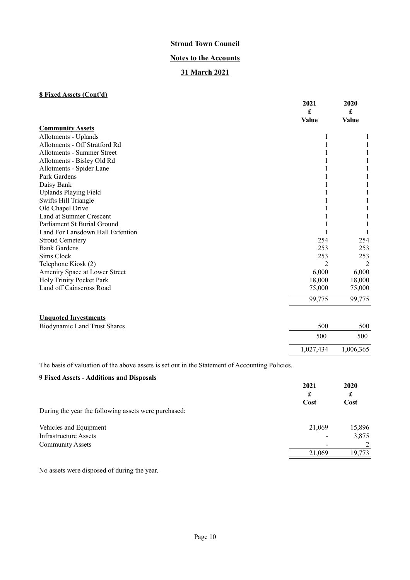## **Notes to the Accounts**

# **31 March 2021**

# **8 Fixed Assets (Cont'd)**

|                                     | 2021<br>£      | 2020<br>£ |
|-------------------------------------|----------------|-----------|
|                                     | Value          | Value     |
| <b>Community Assets</b>             |                |           |
| Allotments - Uplands                |                |           |
| Allotments - Off Stratford Rd       |                |           |
| Allotments - Summer Street          |                |           |
| Allotments - Bisley Old Rd          |                |           |
| Allotments - Spider Lane            |                |           |
| Park Gardens                        |                |           |
| Daisy Bank                          |                |           |
| <b>Uplands Playing Field</b>        |                |           |
| Swifts Hill Triangle                |                |           |
| Old Chapel Drive                    |                |           |
| Land at Summer Crescent             |                |           |
| Parliament St Burial Ground         |                |           |
| Land For Lansdown Hall Extention    |                |           |
| <b>Stroud Cemetery</b>              | 254            | 254       |
| <b>Bank Gardens</b>                 | 253            | 253       |
| Sims Clock                          | 253            | 253       |
| Telephone Kiosk (2)                 | $\overline{2}$ | 2         |
| Amenity Space at Lower Street       | 6,000          | 6,000     |
| Holy Trinity Pocket Park            | 18,000         | 18,000    |
| Land off Cainscross Road            | 75,000         | 75,000    |
|                                     | 99,775         | 99,775    |
|                                     |                |           |
| <b>Unquoted Investments</b>         |                |           |
| <b>Biodynamic Land Trust Shares</b> | 500            | 500       |
|                                     | 500            | 500       |
|                                     | 1,027,434      | 1,006,365 |
|                                     |                |           |

The basis of valuation of the above assets is set out in the Statement of Accounting Policies.

# **9 Fixed Assets - Additions and Disposals 2021 2020 £ £ Cost Cost** During the year the following assets were purchased: Vehicles and Equipment 21,069 15,896 Infrastructure Assets - 3,875 Community Assets 2 21,069 19,773

No assets were disposed of during the year.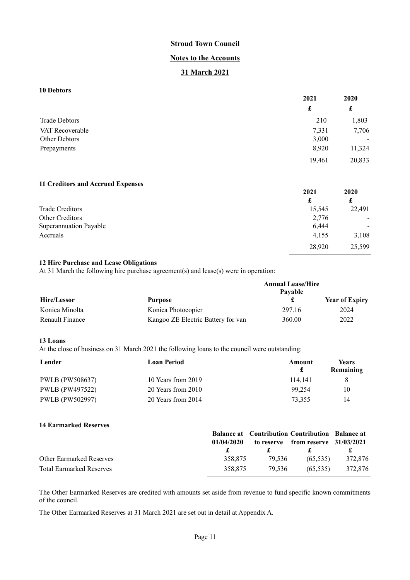# **Notes to the Accounts**

# **31 March 2021**

# **10 Debtors**

|                      | 2021   | 2020   |
|----------------------|--------|--------|
|                      | £      | £      |
| <b>Trade Debtors</b> | 210    | 1,803  |
| VAT Recoverable      | 7,331  | 7,706  |
| Other Debtors        | 3,000  | -      |
| Prepayments          | 8,920  | 11,324 |
|                      | 19,461 | 20,833 |

#### **11 Creditors and Accrued Expenses**

|                        | 2021   | 2020           |
|------------------------|--------|----------------|
|                        | £      | £              |
| Trade Creditors        | 15,545 | 22,491         |
| Other Creditors        | 2,776  |                |
| Superannuation Payable | 6,444  | $\blacksquare$ |
| Accruals               | 4.155  | 3,108          |
|                        | 28,920 | 25,599         |

28,920

# **12 Hire Purchase and Lease Obligations**

At 31 March the following hire purchase agreement(s) and lease(s) were in operation:

|                 |                                    | <b>Annual Lease/Hire</b> |                       |
|-----------------|------------------------------------|--------------------------|-----------------------|
| Hire/Lessor     | Purpose                            | Pavable                  | <b>Year of Expiry</b> |
| Konica Minolta  | Konica Photocopier                 | 297.16                   | 2024                  |
| Renault Finance | Kangoo ZE Electric Battery for van | 360.00                   | 2022                  |

#### **13 Loans**

At the close of business on 31 March 2021 the following loans to the council were outstanding:

| Lender          | <b>Loan Period</b> | Amount  | <b>Years</b><br>Remaining |
|-----------------|--------------------|---------|---------------------------|
| PWLB (PW508637) | 10 Years from 2019 | 114.141 |                           |
| PWLB (PW497522) | 20 Years from 2010 | 99.254  | 10                        |
| PWLB (PW502997) | 20 Years from 2014 | 73.355  | 14                        |

#### **14 Earmarked Reserves**

|                                 |            | <b>Balance at</b> Contribution Contribution Balance at |                                      |         |
|---------------------------------|------------|--------------------------------------------------------|--------------------------------------|---------|
|                                 | 01/04/2020 |                                                        | to reserve from reserve $31/03/2021$ |         |
|                                 |            |                                                        | . .                                  |         |
| <b>Other Earmarked Reserves</b> | 358.875    | 79.536                                                 | (65.535)                             | 372,876 |
| <b>Total Earmarked Reserves</b> | 358.875    | 79.536                                                 | (65.535)                             | 372.876 |

The Other Earmarked Reserves are credited with amounts set aside from revenue to fund specific known commitments of the council.

The Other Earmarked Reserves at 31 March 2021 are set out in detail at Appendix A.